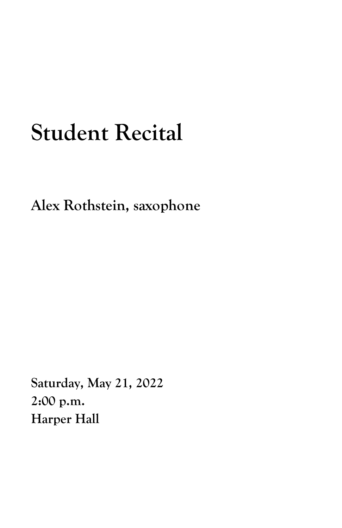## **Student Recital**

**Alex Rothstein, saxophone**

**Saturday, May 21, 2022 2:00 p.m. Harper Hall**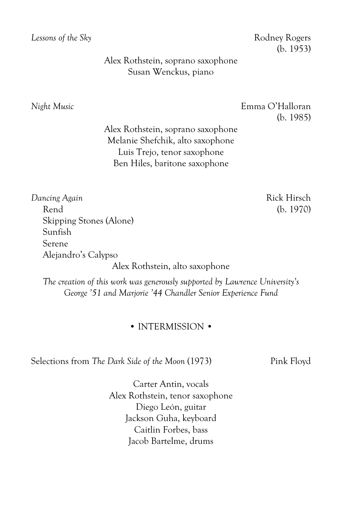*Lessons of the Sky* Rodney Rogers

(b. 1953)

Alex Rothstein, soprano saxophone Susan Wenckus, piano

*Night Music* Emma O'Halloran (b. 1985)

> Alex Rothstein, soprano saxophone Melanie Shefchik, alto saxophone Luis Trejo, tenor saxophone Ben Hiles, baritone saxophone

*Dancing Again* Rick Hirsch Rend (b. 1970) Skipping Stones (Alone) Sunfish Serene Alejandro's Calypso

Alex Rothstein, alto saxophone

*The creation of this work was generously supported by Lawrence University's George '51 and Marjorie '44 Chandler Senior Experience Fund*

## • INTERMISSION •

Selections from *The Dark Side of the Moon* (1973) Pink Floyd

Carter Antin, vocals Alex Rothstein, tenor saxophone Diego León, guitar Jackson Guha, keyboard Caitlin Forbes, bass Jacob Bartelme, drums